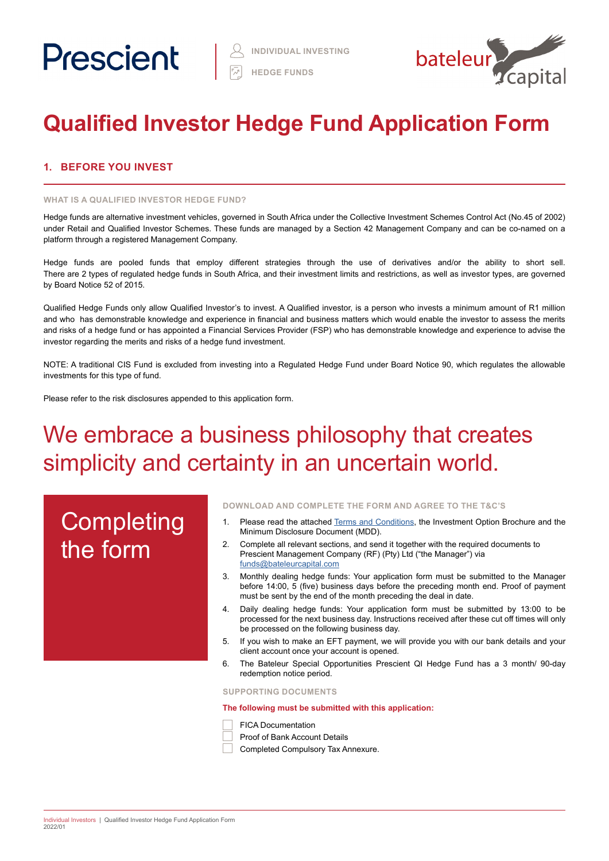

# **Qualified Investor Hedge Fund Application Form**

# **1. BEFORE YOU INVEST**

#### **WHAT IS A QUALIFIED INVESTOR HEDGE FUND?**

Hedge funds are alternative investment vehicles, governed in South Africa under the Collective Investment Schemes Control Act (No.45 of 2002) under Retail and Qualified Investor Schemes. These funds are managed by a Section 42 Management Company and can be co-named on a platform through a registered Management Company.

Hedge funds are pooled funds that employ different strategies through the use of derivatives and/or the ability to short sell. There are 2 types of regulated hedge funds in South Africa, and their investment limits and restrictions, as well as investor types, are governed by Board Notice 52 of 2015.

Qualified Hedge Funds only allow Qualified Investor's to invest. A Qualified investor, is a person who invests a minimum amount of R1 million and who has demonstrable knowledge and experience in financial and business matters which would enable the investor to assess the merits and risks of a hedge fund or has appointed a Financial Services Provider (FSP) who has demonstrable knowledge and experience to advise the investor regarding the merits and risks of a hedge fund investment.

NOTE: A traditional CIS Fund is excluded from investing into a Regulated Hedge Fund under Board Notice 90, which regulates the allowable investments for this type of fund.

Please refer to the risk disclosures appended to this application form.

# We embrace a business philosophy that creates simplicity and certainty in an uncertain world.

# **Completing** the form

#### **DOWNLOAD AND COMPLETE THE FORM AND AGREE TO THE T&C'S**

- 1. Please read the attached [Terms and Conditions](https://www.prescient.co.za/media/de4hvtza/prescient-hedge-fund-terms-conditions.pdf), the Investment Option Brochure and the Minimum Disclosure Document (MDD).
- 2. Complete all relevant sections, and send it together with the required documents to Prescient Management Company (RF) (Pty) Ltd ("the Manager") via [funds@bateleurcapital.com](mailto:funds%40bateleurcapital.com?subject=Hedge%20Fund%20Individual%20Investor%20Application%20Form%20QI)
- 3. Monthly dealing hedge funds: Your application form must be submitted to the Manager before 14:00, 5 (five) business days before the preceding month end. Proof of payment must be sent by the end of the month preceding the deal in date.
- 4. Daily dealing hedge funds: Your application form must be submitted by 13:00 to be processed for the next business day. Instructions received after these cut off times will only be processed on the following business day.
- 5. If you wish to make an EFT payment, we will provide you with our bank details and your client account once your account is opened.
- 6. The Bateleur Special Opportunities Prescient QI Hedge Fund has a 3 month/ 90-day redemption notice period.

**SUPPORTING DOCUMENTS** 

**The following must be submitted with this application:**



Proof of Bank Account Details

Completed Compulsory Tax Annexure.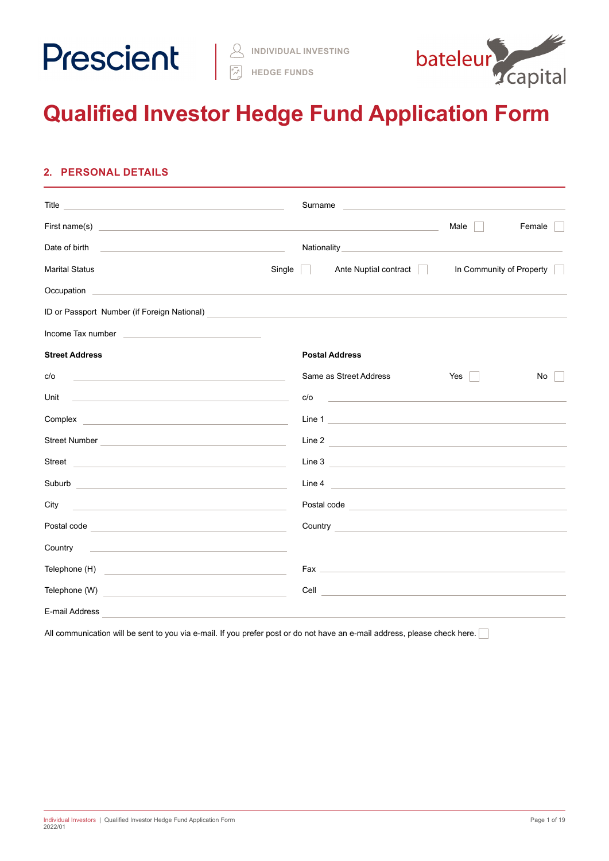

**HEDGE FUNDS**



# **Qualified Investor Hedge Fund Application Form**

# **2. PERSONAL DETAILS**

|                                                                                                                                                                                                                                      |        | Surname        | <u> 1989 - Johann Barbara, martxa alemaniar a</u>                                                                                                                                                                                    |                      |                          |
|--------------------------------------------------------------------------------------------------------------------------------------------------------------------------------------------------------------------------------------|--------|----------------|--------------------------------------------------------------------------------------------------------------------------------------------------------------------------------------------------------------------------------------|----------------------|--------------------------|
| First name(s) <u>example and the contract of the contract of the contract of the contract of the contract of the contract of the contract of the contract of the contract of the contract of the contract of the contract of the</u> |        |                |                                                                                                                                                                                                                                      | Male $\vert$ $\vert$ | Female                   |
| Date of birth <b>contact and the contact of the contact of the contact of the contact of the contact of the contact of the contact of the contact of the contact of the contact of the contact of the contact of the contact of </b> |        |                |                                                                                                                                                                                                                                      |                      |                          |
| <b>Marital Status</b>                                                                                                                                                                                                                | Single | $\mathbb{R}^n$ | Ante Nuptial contract                                                                                                                                                                                                                |                      | In Community of Property |
|                                                                                                                                                                                                                                      |        |                |                                                                                                                                                                                                                                      |                      |                          |
| ID or Passport Number (if Foreign National)<br><u>Designed and the contract of the contract of the contract of the contract of the contract of the contract of</u>                                                                   |        |                |                                                                                                                                                                                                                                      |                      |                          |
|                                                                                                                                                                                                                                      |        |                |                                                                                                                                                                                                                                      |                      |                          |
| <b>Street Address</b>                                                                                                                                                                                                                |        |                | <b>Postal Address</b>                                                                                                                                                                                                                |                      |                          |
| c/o<br><u> 1989 - Johann Stein, mars an deutscher Stein und der Stein und der Stein und der Stein und der Stein und der</u>                                                                                                          |        |                | Same as Street Address                                                                                                                                                                                                               | Yes                  | No.                      |
| Unit<br>the control of the control of the control of the control of the control of the control of                                                                                                                                    |        | c/o            | <u> 1980 - Johann Barn, amerikansk politiker (</u> † 1902)                                                                                                                                                                           |                      |                          |
|                                                                                                                                                                                                                                      |        |                | Line 1                                                                                                                                                                                                                               |                      |                          |
| Street Number Number Number Street Number Number 30 Number 30 Number 30 Number 30 Number 30 Number 30 Number 30 Number 30 Number 30 Number 30 Number 30 Number 30 Number 30 Number 30 Number 30 Number 30 Number 30 Number 30        |        |                | Line 2                                                                                                                                                                                                                               |                      |                          |
| Street <u>and the community of the community of the community of the community of the community of the community of the community of the community of the community of the community of the community of the community of the co</u> |        |                | Line 3                                                                                                                                                                                                                               |                      |                          |
| Suburb and the contract of the contract of the contract of the contract of the contract of the contract of the                                                                                                                       |        |                | Line 4 $\overline{\phantom{a}}$                                                                                                                                                                                                      |                      |                          |
| City<br><u> 1980 - Andrea Barbara, amerikan personal (h. 1980).</u>                                                                                                                                                                  |        |                | Postal code <b>contract and contract and contract of the contract of the contract of the contract of the contract of the contract of the contract of the contract of the contract of the contract of the contract of the contrac</b> |                      |                          |
| Postal code <b>contract and contract of the contract of the contract of the contract of the contract of the contract of the contract of the contract of the contract of the contract of the contract of the contract of the cont</b> |        |                | Country <u>Country Country Country Country Country Country Country Country Country Country Country Country Countries</u>                                                                                                             |                      |                          |
| <u> 1980 - John Stein, mars and de Barbara (b. 1980)</u><br>Country                                                                                                                                                                  |        |                |                                                                                                                                                                                                                                      |                      |                          |
| Telephone (H)<br><u> 1989 - Johann Stein, mars and de Branch and de Branch and de Branch and de Branch and de Branch and de Branch</u>                                                                                               |        |                |                                                                                                                                                                                                                                      |                      |                          |
|                                                                                                                                                                                                                                      |        |                | Cell <b>Contract of the Contract of the Contract of the Contract of the Contract of the Contract of the Contract of the Contract of the Contract of the Contract of the Contract of the Contract of the Contract of the Contract</b> |                      |                          |
| E-mail Address                                                                                                                                                                                                                       |        |                |                                                                                                                                                                                                                                      |                      |                          |

All communication will be sent to you via e-mail. If you prefer post or do not have an e-mail address, please check here.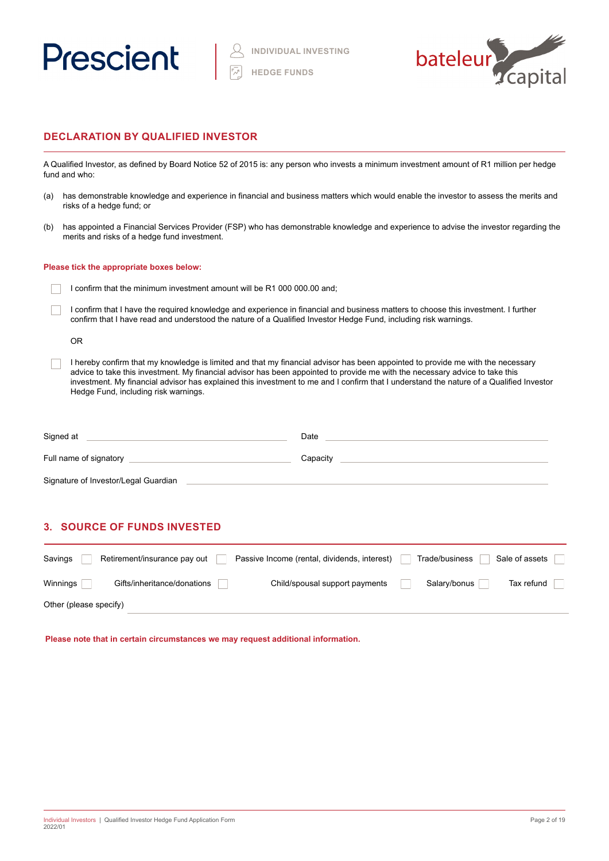



### **DECLARATION BY QUALIFIED INVESTOR**

A Qualified Investor, as defined by Board Notice 52 of 2015 is: any person who invests a minimum investment amount of R1 million per hedge fund and who:

- (a) has demonstrable knowledge and experience in financial and business matters which would enable the investor to assess the merits and risks of a hedge fund; or
- (b) has appointed a Financial Services Provider (FSP) who has demonstrable knowledge and experience to advise the investor regarding the merits and risks of a hedge fund investment.

#### **Please tick the appropriate boxes below:**

- I confirm that the minimum investment amount will be R1 000 000.00 and;
- I confirm that I have the required knowledge and experience in financial and business matters to choose this investment. I further confirm that I have read and understood the nature of a Qualified Investor Hedge Fund, including risk warnings.

OR

I hereby confirm that my knowledge is limited and that my financial advisor has been appointed to provide me with the necessary advice to take this investment. My financial advisor has been appointed to provide me with the necessary advice to take this investment. My financial advisor has explained this investment to me and I confirm that I understand the nature of a Qualified Investor Hedge Fund, including risk warnings.

| Signed at                            | Date     |
|--------------------------------------|----------|
| Full name of signatory               | Capacity |
| Signature of Investor/Legal Guardian |          |

# **3. SOURCE OF FUNDS INVESTED**

| Savings                | Retirement/insurance pay out | Passive Income (rental, dividends, interest) | Sale of assets<br>Trade/business |
|------------------------|------------------------------|----------------------------------------------|----------------------------------|
| Winnings               | Gifts/inheritance/donations  | Child/spousal support payments               | Salary/bonus<br>Tax refund       |
| Other (please specify) |                              |                                              |                                  |

**Please note that in certain circumstances we may request additional information.**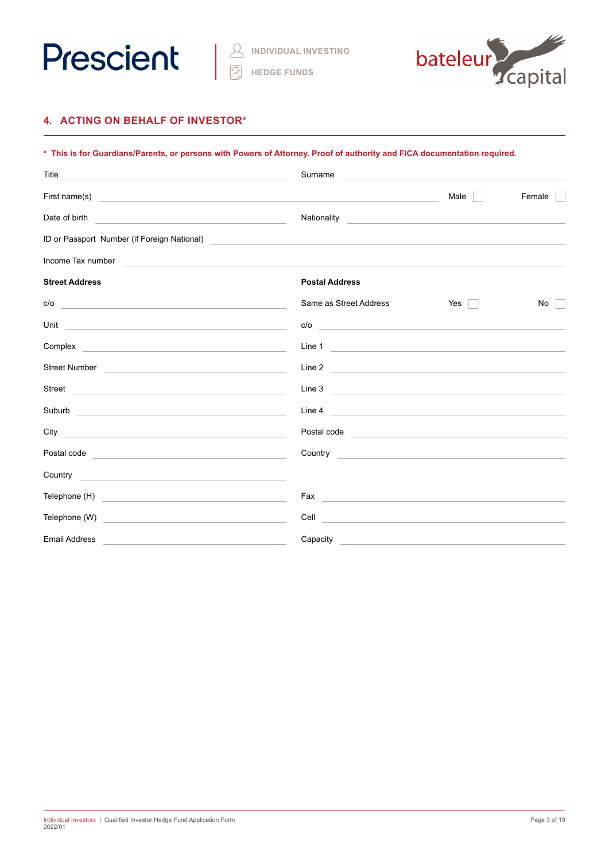



# **4. ACTING ON BEHALF OF INVESTOR\***

| * This is for Guardians/Parents, or persons with Powers of Attorney. Proof of authority and FICA documentation required.                                                                                                               |                                                                                                                                                                                                                                      |                                                                                           |        |  |  |  |  |
|----------------------------------------------------------------------------------------------------------------------------------------------------------------------------------------------------------------------------------------|--------------------------------------------------------------------------------------------------------------------------------------------------------------------------------------------------------------------------------------|-------------------------------------------------------------------------------------------|--------|--|--|--|--|
| Title<br><u> 1989 - Johann Barn, mars et al. (b. 1989)</u>                                                                                                                                                                             | Surname                                                                                                                                                                                                                              |                                                                                           |        |  |  |  |  |
| First name(s)<br><u> 1989 - Johann Stoff, amerikansk politiker (d. 1989)</u>                                                                                                                                                           |                                                                                                                                                                                                                                      | Male                                                                                      | Female |  |  |  |  |
| Date of birth<br><u> Alexandria de la contrada de la contrada de la contrada de la contrada de la contrada de la contrada de la c</u>                                                                                                  | Nationality                                                                                                                                                                                                                          | <u> 1989 - Johann Barbara, martxa alemani</u> ar a                                        |        |  |  |  |  |
| ID or Passport Number (if Foreign National)<br><u> and the contract of the contract of the contract of the contract of the contract of the contract of the contract of the contract of the contract of the contract of the contrac</u> |                                                                                                                                                                                                                                      |                                                                                           |        |  |  |  |  |
| Income Tax number                                                                                                                                                                                                                      |                                                                                                                                                                                                                                      |                                                                                           |        |  |  |  |  |
| <b>Street Address</b>                                                                                                                                                                                                                  | <b>Postal Address</b>                                                                                                                                                                                                                |                                                                                           |        |  |  |  |  |
| c/o<br><u> 1980 - Johann Barbara, martxa alemaniar arg</u>                                                                                                                                                                             | Same as Street Address                                                                                                                                                                                                               | Yes<br>$\sim$                                                                             | No     |  |  |  |  |
| Unit<br><u> 1980 - Johann Barn, mars an t-Amerikaansk politiker (</u>                                                                                                                                                                  |                                                                                                                                                                                                                                      |                                                                                           |        |  |  |  |  |
|                                                                                                                                                                                                                                        | Line 1                                                                                                                                                                                                                               |                                                                                           |        |  |  |  |  |
| Street Number <b>Communication Communication Communication Communication</b>                                                                                                                                                           | Line 2 $\overline{\phantom{a}}$                                                                                                                                                                                                      |                                                                                           |        |  |  |  |  |
| Street<br><u> Alexandria de la contrada de la contrada de la contrada de la contrada de la contrada de la contrada de la c</u>                                                                                                         | Line 3                                                                                                                                                                                                                               |                                                                                           |        |  |  |  |  |
| Suburb<br><u> Alexandria de la contrada de la contrada de la contrada de la contrada de la contrada de la contrada de la c</u>                                                                                                         | Line 4                                                                                                                                                                                                                               |                                                                                           |        |  |  |  |  |
| City<br><u> 1980 - Johann Stein, marwolaethau a bhann an t-Amhainn an t-Amhainn an t-Amhainn an t-Amhainn an t-Amhainn a</u>                                                                                                           | Postal code <u>expression and the set of the set of the set of the set of the set of the set of the set of the set of the set of the set of the set of the set of the set of the set of the set of the set of the set of the set</u> |                                                                                           |        |  |  |  |  |
| Postal code <u>expression and the set of the set of the set of the set of the set of the set of the set of the set of the set of the set of the set of the set of the set of the set of the set of the set of the set of the set</u>   | Country <b>Countries and Countries and Countries and Countries and Countries and Countries and Countries and Countries</b>                                                                                                           |                                                                                           |        |  |  |  |  |
| Country _____<br><u> 1989 - Johann Barbara, martxa alemaniar arg</u>                                                                                                                                                                   |                                                                                                                                                                                                                                      |                                                                                           |        |  |  |  |  |
|                                                                                                                                                                                                                                        | Fax<br><u> Alexandria de la contrada de la contrada de la contrada de la contrada de la contrada de la contrada de la c</u>                                                                                                          |                                                                                           |        |  |  |  |  |
| Telephone (W)<br><u> Alexandria de la contrada de la contrada de la contrada de la contrada de la contrada de la contrada de la c</u>                                                                                                  | Cell<br><u> 1989 - Johann Stoff, amerikansk politiker (</u>                                                                                                                                                                          |                                                                                           |        |  |  |  |  |
| Email Address<br>the control of the control of the control of the control of the control of the control of                                                                                                                             | Capacity                                                                                                                                                                                                                             | the control of the control of the control of the control of the control of the control of |        |  |  |  |  |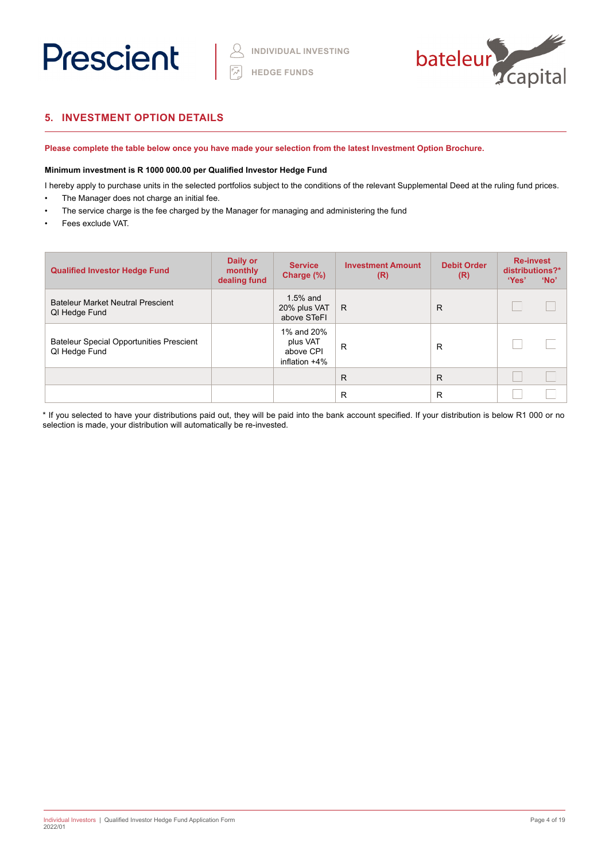



# **5. INVESTMENT OPTION DETAILS**

**Please complete the table below once you have made your selection from the latest Investment Option Brochure.** 

#### **Minimum investment is R 1000 000.00 per Qualified Investor Hedge Fund**

I hereby apply to purchase units in the selected portfolios subject to the conditions of the relevant Supplemental Deed at the ruling fund prices.

- The Manager does not charge an initial fee.
- The service charge is the fee charged by the Manager for managing and administering the fund
- Fees exclude VAT.

| <b>Qualified Investor Hedge Fund</b>                             | Daily or<br>monthly<br>dealing fund | <b>Service</b><br>Charge (%)                            | <b>Investment Amount</b><br>(R) | <b>Debit Order</b><br>(R) | <b>Re-invest</b><br>distributions?*<br>'Yes' | 'No' |
|------------------------------------------------------------------|-------------------------------------|---------------------------------------------------------|---------------------------------|---------------------------|----------------------------------------------|------|
| <b>Bateleur Market Neutral Prescient</b><br>QI Hedge Fund        |                                     | $1.5%$ and<br>20% plus VAT<br>above STeFI               | R                               | R                         |                                              |      |
| <b>Bateleur Special Opportunities Prescient</b><br>QI Hedge Fund |                                     | 1% and 20%<br>plus VAT<br>above CPI<br>inflation $+4\%$ | R                               | R                         |                                              |      |
|                                                                  |                                     |                                                         | R                               | R                         |                                              |      |
|                                                                  |                                     |                                                         | R                               | R                         |                                              |      |

\* If you selected to have your distributions paid out, they will be paid into the bank account specified. If your distribution is below R1 000 or no selection is made, your distribution will automatically be re-invested.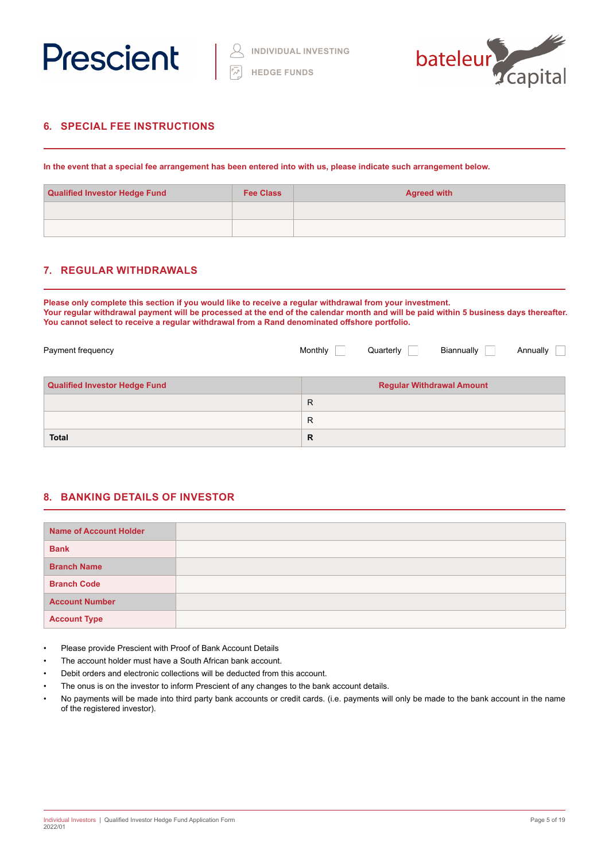



# **6. SPECIAL FEE INSTRUCTIONS**

**In the event that a special fee arrangement has been entered into with us, please indicate such arrangement below.**

| <b>Qualified Investor Hedge Fund</b> | <b>Fee Class</b> | <b>Agreed with</b> |
|--------------------------------------|------------------|--------------------|
|                                      |                  |                    |
|                                      |                  |                    |

# **7. REGULAR WITHDRAWALS**

**Please only complete this section if you would like to receive a regular withdrawal from your investment. Your regular withdrawal payment will be processed at the end of the calendar month and will be paid within 5 business days thereafter. You cannot select to receive a regular withdrawal from a Rand denominated offshore portfolio.**

| Payment frequency                    | Monthly | Quarterly | Biannually                       | Annually |  |
|--------------------------------------|---------|-----------|----------------------------------|----------|--|
| <b>Qualified Investor Hedge Fund</b> |         |           | <b>Regular Withdrawal Amount</b> |          |  |
|                                      | R       |           |                                  |          |  |
|                                      | R       |           |                                  |          |  |
| <b>Total</b>                         | R       |           |                                  |          |  |

# **8. BANKING DETAILS OF INVESTOR**

| <b>Name of Account Holder</b> |  |
|-------------------------------|--|
| <b>Bank</b>                   |  |
| <b>Branch Name</b>            |  |
| <b>Branch Code</b>            |  |
| <b>Account Number</b>         |  |
| <b>Account Type</b>           |  |

- Please provide Prescient with Proof of Bank Account Details
- The account holder must have a South African bank account.
- Debit orders and electronic collections will be deducted from this account.
- The onus is on the investor to inform Prescient of any changes to the bank account details.
- No payments will be made into third party bank accounts or credit cards. (i.e. payments will only be made to the bank account in the name of the registered investor).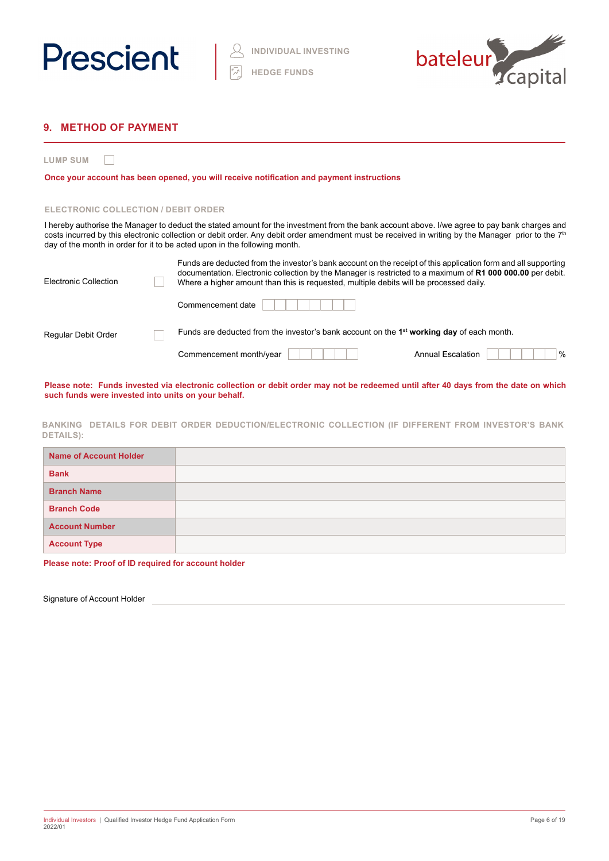



# **9. METHOD OF PAYMENT**

**LUMP SUM**  $\Box$ 

**Once your account has been opened, you will receive notification and payment instructions**

#### **ELECTRONIC COLLECTION / DEBIT ORDER**

I hereby authorise the Manager to deduct the stated amount for the investment from the bank account above. I/we agree to pay bank charges and costs incurred by this electronic collection or debit order. Any debit order amendment must be received in writing by the Manager prior to the 7<sup>th</sup> day of the month in order for it to be acted upon in the following month.

| Electronic Collection | Funds are deducted from the investor's bank account on the receipt of this application form and all supporting<br>documentation. Electronic collection by the Manager is restricted to a maximum of R1 000 000.00 per debit.<br>Where a higher amount than this is requested, multiple debits will be processed daily. |  |  |  |  |  |
|-----------------------|------------------------------------------------------------------------------------------------------------------------------------------------------------------------------------------------------------------------------------------------------------------------------------------------------------------------|--|--|--|--|--|
|                       | Commencement date                                                                                                                                                                                                                                                                                                      |  |  |  |  |  |
| Regular Debit Order   | Funds are deducted from the investor's bank account on the 1 <sup>st</sup> working day of each month.                                                                                                                                                                                                                  |  |  |  |  |  |
|                       | $\%$<br>Commencement month/year<br><b>Annual Escalation</b>                                                                                                                                                                                                                                                            |  |  |  |  |  |

**Please note: Funds invested via electronic collection or debit order may not be redeemed until after 40 days from the date on which such funds were invested into units on your behalf.**

**BANKING DETAILS FOR DEBIT ORDER DEDUCTION/ELECTRONIC COLLECTION (IF DIFFERENT FROM INVESTOR'S BANK DETAILS):**

| Name of Account Holder |  |
|------------------------|--|
| <b>Bank</b>            |  |
| <b>Branch Name</b>     |  |
| <b>Branch Code</b>     |  |
| <b>Account Number</b>  |  |
| <b>Account Type</b>    |  |

**Please note: Proof of ID required for account holder** 

Signature of Account Holder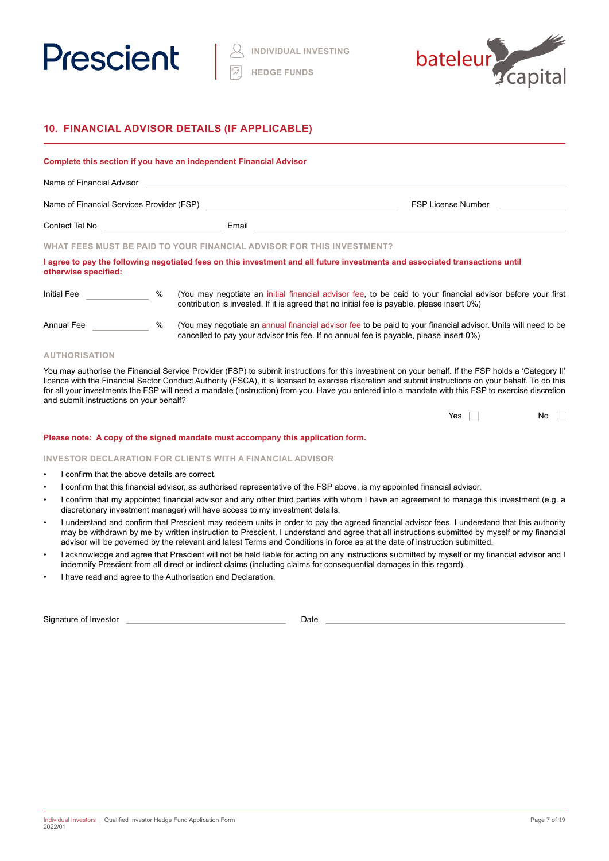



# **10. FINANCIAL ADVISOR DETAILS (IF APPLICABLE)**

|                                           |      | Complete this section if you have an independent Financial Advisor                                                                                                                                         |                           |
|-------------------------------------------|------|------------------------------------------------------------------------------------------------------------------------------------------------------------------------------------------------------------|---------------------------|
| Name of Financial Advisor                 |      |                                                                                                                                                                                                            |                           |
| Name of Financial Services Provider (FSP) |      |                                                                                                                                                                                                            | <b>FSP License Number</b> |
| Contact Tel No                            |      | Email                                                                                                                                                                                                      |                           |
|                                           |      | WHAT FEES MUST BE PAID TO YOUR FINANCIAL ADVISOR FOR THIS INVESTMENT?                                                                                                                                      |                           |
| otherwise specified:                      |      | I agree to pay the following negotiated fees on this investment and all future investments and associated transactions until                                                                               |                           |
| Initial Fee                               | $\%$ | (You may negotiate an initial financial advisor fee, to be paid to your financial advisor before your first<br>contribution is invested. If it is agreed that no initial fee is payable, please insert 0%) |                           |
| Annual Fee                                | %    | (You may negotiate an annual financial advisor fee to be paid to your financial advisor. Units will need to be<br>cancelled to pay your advisor this fee. If no annual fee is payable, please insert 0%)   |                           |

#### **AUTHORISATION**

You may authorise the Financial Service Provider (FSP) to submit instructions for this investment on your behalf. If the FSP holds a 'Category II' licence with the Financial Sector Conduct Authority (FSCA), it is licensed to exercise discretion and submit instructions on your behalf. To do this for all your investments the FSP will need a mandate (instruction) from you. Have you entered into a mandate with this FSP to exercise discretion and submit instructions on your behalf?

| Yes |  | $\overline{\mathsf{No}}$ |  |  |
|-----|--|--------------------------|--|--|
|-----|--|--------------------------|--|--|

#### **Please note: A copy of the signed mandate must accompany this application form.**

#### **INVESTOR DECLARATION FOR CLIENTS WITH A FINANCIAL ADVISOR**

- I confirm that the above details are correct.
- I confirm that this financial advisor, as authorised representative of the FSP above, is my appointed financial advisor.
- I confirm that my appointed financial advisor and any other third parties with whom I have an agreement to manage this investment (e.g. a discretionary investment manager) will have access to my investment details.
- I understand and confirm that Prescient may redeem units in order to pay the agreed financial advisor fees. I understand that this authority may be withdrawn by me by written instruction to Prescient. I understand and agree that all instructions submitted by myself or my financial advisor will be governed by the relevant and latest Terms and Conditions in force as at the date of instruction submitted.
- I acknowledge and agree that Prescient will not be held liable for acting on any instructions submitted by myself or my financial advisor and I indemnify Prescient from all direct or indirect claims (including claims for consequential damages in this regard).
- I have read and agree to the Authorisation and Declaration.

Signature of Investor Date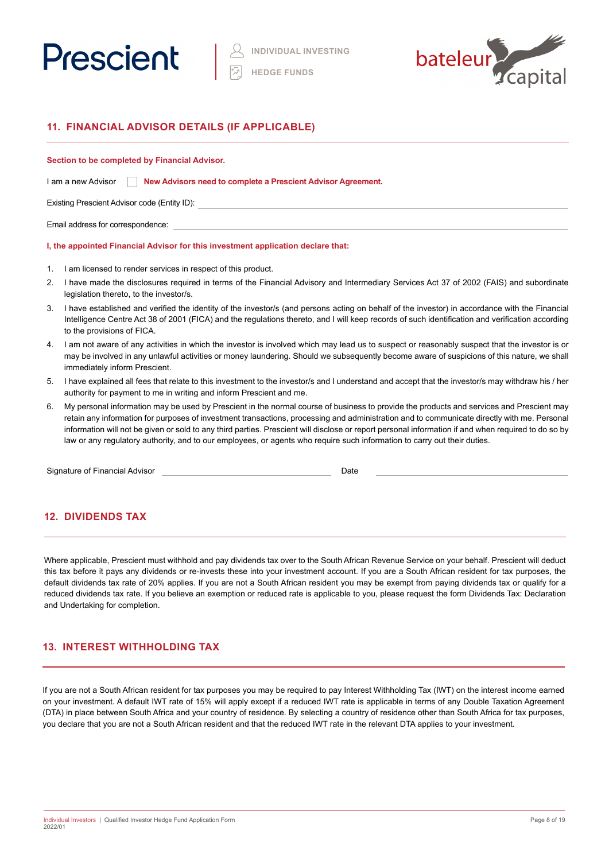



# **11. FINANCIAL ADVISOR DETAILS (IF APPLICABLE)**

#### **Section to be completed by Financial Advisor.**

| I am a new Advisor | New Advisors need to complete a Prescient Advisor Agreement. |  |
|--------------------|--------------------------------------------------------------|--|
|--------------------|--------------------------------------------------------------|--|

Existing Prescient Advisor code (Entity ID):

Email address for correspondence:

#### **I, the appointed Financial Advisor for this investment application declare that:**

- 1. I am licensed to render services in respect of this product.
- 2. I have made the disclosures required in terms of the Financial Advisory and Intermediary Services Act 37 of 2002 (FAIS) and subordinate legislation thereto, to the investor/s.
- 3. I have established and verified the identity of the investor/s (and persons acting on behalf of the investor) in accordance with the Financial Intelligence Centre Act 38 of 2001 (FICA) and the regulations thereto, and I will keep records of such identification and verification according to the provisions of FICA.
- 4. I am not aware of any activities in which the investor is involved which may lead us to suspect or reasonably suspect that the investor is or may be involved in any unlawful activities or money laundering. Should we subsequently become aware of suspicions of this nature, we shall immediately inform Prescient.
- 5. I have explained all fees that relate to this investment to the investor/s and I understand and accept that the investor/s may withdraw his / her authority for payment to me in writing and inform Prescient and me.
- 6. My personal information may be used by Prescient in the normal course of business to provide the products and services and Prescient may retain any information for purposes of investment transactions, processing and administration and to communicate directly with me. Personal information will not be given or sold to any third parties. Prescient will disclose or report personal information if and when required to do so by law or any regulatory authority, and to our employees, or agents who require such information to carry out their duties.

Signature of Financial Advisor **Date Date** Date **Date Date** 

# **12. DIVIDENDS TAX**

Where applicable, Prescient must withhold and pay dividends tax over to the South African Revenue Service on your behalf. Prescient will deduct this tax before it pays any dividends or re-invests these into your investment account. If you are a South African resident for tax purposes, the default dividends tax rate of 20% applies. If you are not a South African resident you may be exempt from paying dividends tax or qualify for a reduced dividends tax rate. If you believe an exemption or reduced rate is applicable to you, please request the form Dividends Tax: Declaration and Undertaking for completion.

# **13. INTEREST WITHHOLDING TAX**

If you are not a South African resident for tax purposes you may be required to pay Interest Withholding Tax (IWT) on the interest income earned on your investment. A default IWT rate of 15% will apply except if a reduced IWT rate is applicable in terms of any Double Taxation Agreement (DTA) in place between South Africa and your country of residence. By selecting a country of residence other than South Africa for tax purposes, you declare that you are not a South African resident and that the reduced IWT rate in the relevant DTA applies to your investment.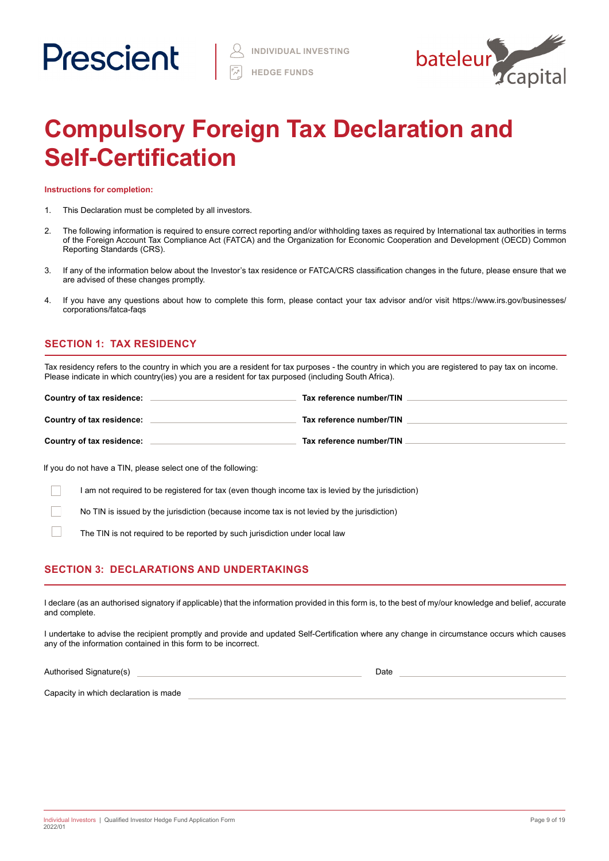

# **Compulsory Foreign Tax Declaration and Self-Certification**

**Instructions for completion:**

- 1. This Declaration must be completed by all investors.
- 2. The following information is required to ensure correct reporting and/or withholding taxes as required by International tax authorities in terms of the Foreign Account Tax Compliance Act (FATCA) and the Organization for Economic Cooperation and Development (OECD) Common Reporting Standards (CRS).
- 3. If any of the information below about the Investor's tax residence or FATCA/CRS classification changes in the future, please ensure that we are advised of these changes promptly.
- 4. If you have any questions about how to complete this form, please contact your tax advisor and/or visit https://www.irs.gov/businesses/ corporations/fatca-faqs

# **SECTION 1: TAX RESIDENCY**

Tax residency refers to the country in which you are a resident for tax purposes - the country in which you are registered to pay tax on income. Please indicate in which country(ies) you are a resident for tax purposed (including South Africa).

| Country of tax residence: | Tax reference number/TIN |
|---------------------------|--------------------------|
| Country of tax residence: | Tax reference number/TIN |
| Country of tax residence: | Tax reference number/TIN |

If you do not have a TIN, please select one of the following:

I am not required to be registered for tax (even though income tax is levied by the jurisdiction)

No TIN is issued by the jurisdiction (because income tax is not levied by the jurisdiction)

The TIN is not required to be reported by such jurisdiction under local law

# **SECTION 3: DECLARATIONS AND UNDERTAKINGS**

I declare (as an authorised signatory if applicable) that the information provided in this form is, to the best of my/our knowledge and belief, accurate and complete.

I undertake to advise the recipient promptly and provide and updated Self-Certification where any change in circumstance occurs which causes any of the information contained in this form to be incorrect.

Authorised Signature(s) and the state of the state of the state of the state of the Date of the Date of the Date

Capacity in which declaration is made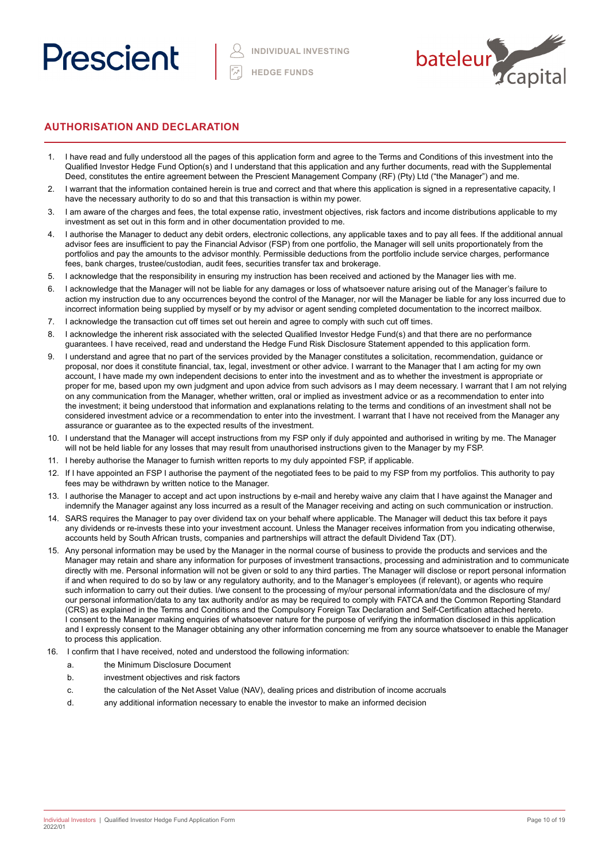



# **AUTHORISATION AND DECLARATION**

- 1. I have read and fully understood all the pages of this application form and agree to the Terms and Conditions of this investment into the Qualified Investor Hedge Fund Option(s) and I understand that this application and any further documents, read with the Supplemental Deed, constitutes the entire agreement between the Prescient Management Company (RF) (Pty) Ltd ("the Manager") and me.
- 2. I warrant that the information contained herein is true and correct and that where this application is signed in a representative capacity, I have the necessary authority to do so and that this transaction is within my power.
- 3. I am aware of the charges and fees, the total expense ratio, investment objectives, risk factors and income distributions applicable to my investment as set out in this form and in other documentation provided to me.
- 4. I authorise the Manager to deduct any debit orders, electronic collections, any applicable taxes and to pay all fees. If the additional annual advisor fees are insufficient to pay the Financial Advisor (FSP) from one portfolio, the Manager will sell units proportionately from the portfolios and pay the amounts to the advisor monthly. Permissible deductions from the portfolio include service charges, performance fees, bank charges, trustee/custodian, audit fees, securities transfer tax and brokerage.
- 5. I acknowledge that the responsibility in ensuring my instruction has been received and actioned by the Manager lies with me.
- 6. I acknowledge that the Manager will not be liable for any damages or loss of whatsoever nature arising out of the Manager's failure to action my instruction due to any occurrences beyond the control of the Manager, nor will the Manager be liable for any loss incurred due to incorrect information being supplied by myself or by my advisor or agent sending completed documentation to the incorrect mailbox.
- 7. I acknowledge the transaction cut off times set out herein and agree to comply with such cut off times.
- 8. I acknowledge the inherent risk associated with the selected Qualified Investor Hedge Fund(s) and that there are no performance guarantees. I have received, read and understand the Hedge Fund Risk Disclosure Statement appended to this application form.
- 9. I understand and agree that no part of the services provided by the Manager constitutes a solicitation, recommendation, guidance or proposal, nor does it constitute financial, tax, legal, investment or other advice. I warrant to the Manager that I am acting for my own account, I have made my own independent decisions to enter into the investment and as to whether the investment is appropriate or proper for me, based upon my own judgment and upon advice from such advisors as I may deem necessary. I warrant that I am not relying on any communication from the Manager, whether written, oral or implied as investment advice or as a recommendation to enter into the investment; it being understood that information and explanations relating to the terms and conditions of an investment shall not be considered investment advice or a recommendation to enter into the investment. I warrant that I have not received from the Manager any assurance or guarantee as to the expected results of the investment.
- 10. I understand that the Manager will accept instructions from my FSP only if duly appointed and authorised in writing by me. The Manager will not be held liable for any losses that may result from unauthorised instructions given to the Manager by my FSP.
- 11. I hereby authorise the Manager to furnish written reports to my duly appointed FSP, if applicable.
- 12. If I have appointed an FSP I authorise the payment of the negotiated fees to be paid to my FSP from my portfolios. This authority to pay fees may be withdrawn by written notice to the Manager.
- 13. I authorise the Manager to accept and act upon instructions by e-mail and hereby waive any claim that I have against the Manager and indemnify the Manager against any loss incurred as a result of the Manager receiving and acting on such communication or instruction.
- 14. SARS requires the Manager to pay over dividend tax on your behalf where applicable. The Manager will deduct this tax before it pays any dividends or re-invests these into your investment account. Unless the Manager receives information from you indicating otherwise, accounts held by South African trusts, companies and partnerships will attract the default Dividend Tax (DT).
- 15. Any personal information may be used by the Manager in the normal course of business to provide the products and services and the Manager may retain and share any information for purposes of investment transactions, processing and administration and to communicate directly with me. Personal information will not be given or sold to any third parties. The Manager will disclose or report personal information if and when required to do so by law or any regulatory authority, and to the Manager's employees (if relevant), or agents who require such information to carry out their duties. I/we consent to the processing of my/our personal information/data and the disclosure of my/ our personal information/data to any tax authority and/or as may be required to comply with FATCA and the Common Reporting Standard (CRS) as explained in the Terms and Conditions and the Compulsory Foreign Tax Declaration and Self-Certification attached hereto. I consent to the Manager making enquiries of whatsoever nature for the purpose of verifying the information disclosed in this application and I expressly consent to the Manager obtaining any other information concerning me from any source whatsoever to enable the Manager to process this application.
- 16. I confirm that I have received, noted and understood the following information:
	- a. the Minimum Disclosure Document
	- b. investment objectives and risk factors
	- c. the calculation of the Net Asset Value (NAV), dealing prices and distribution of income accruals
	- d. any additional information necessary to enable the investor to make an informed decision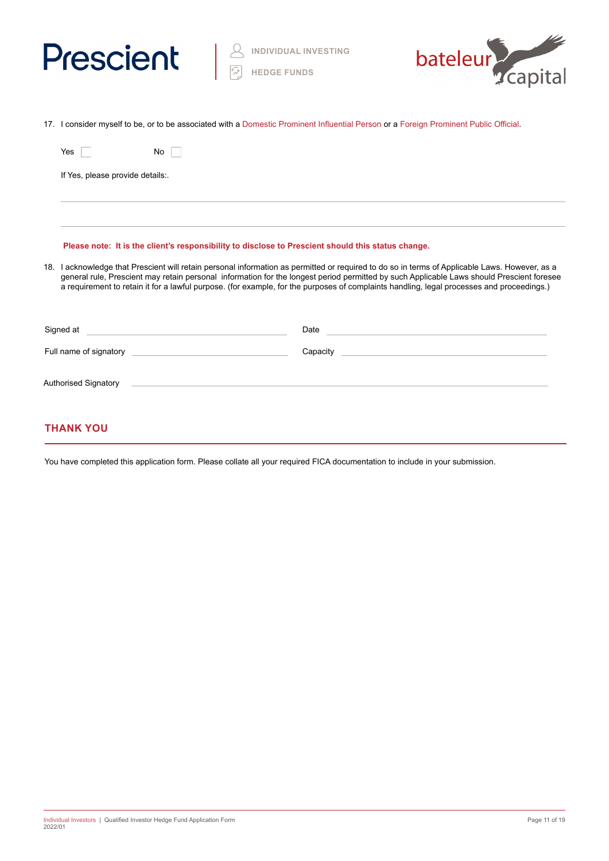



|                                                                                                                                                                                                                                                                                                                                                                                                                                          | 17. I consider myself to be, or to be associated with a Domestic Prominent Influential Person or a Foreign Prominent Public Official.                                                                                                |                                                                                                                                                                                                                                |
|------------------------------------------------------------------------------------------------------------------------------------------------------------------------------------------------------------------------------------------------------------------------------------------------------------------------------------------------------------------------------------------------------------------------------------------|--------------------------------------------------------------------------------------------------------------------------------------------------------------------------------------------------------------------------------------|--------------------------------------------------------------------------------------------------------------------------------------------------------------------------------------------------------------------------------|
|                                                                                                                                                                                                                                                                                                                                                                                                                                          | Yes<br>No                                                                                                                                                                                                                            |                                                                                                                                                                                                                                |
|                                                                                                                                                                                                                                                                                                                                                                                                                                          | If Yes, please provide details:.                                                                                                                                                                                                     |                                                                                                                                                                                                                                |
|                                                                                                                                                                                                                                                                                                                                                                                                                                          |                                                                                                                                                                                                                                      |                                                                                                                                                                                                                                |
|                                                                                                                                                                                                                                                                                                                                                                                                                                          | Please note: It is the client's responsibility to disclose to Prescient should this status change.                                                                                                                                   |                                                                                                                                                                                                                                |
| 18. I acknowledge that Prescient will retain personal information as permitted or required to do so in terms of Applicable Laws. However, as a<br>general rule, Prescient may retain personal information for the longest period permitted by such Applicable Laws should Prescient foresee<br>a requirement to retain it for a lawful purpose. (for example, for the purposes of complaints handling, legal processes and proceedings.) |                                                                                                                                                                                                                                      |                                                                                                                                                                                                                                |
|                                                                                                                                                                                                                                                                                                                                                                                                                                          | Signed at <u>example and a series of the series of the series of the series of the series of the series of the series of the series of the series of the series of the series of the series of the series of the series of the s</u> | Date experience and the second contract of the second contract of the second contract of the second contract of the second contract of the second contract of the second contract of the second contract of the second contrac |
|                                                                                                                                                                                                                                                                                                                                                                                                                                          |                                                                                                                                                                                                                                      | Capacity Canadian Capacity                                                                                                                                                                                                     |
|                                                                                                                                                                                                                                                                                                                                                                                                                                          |                                                                                                                                                                                                                                      |                                                                                                                                                                                                                                |

# **THANK YOU**

You have completed this application form. Please collate all your required FICA documentation to include in your submission.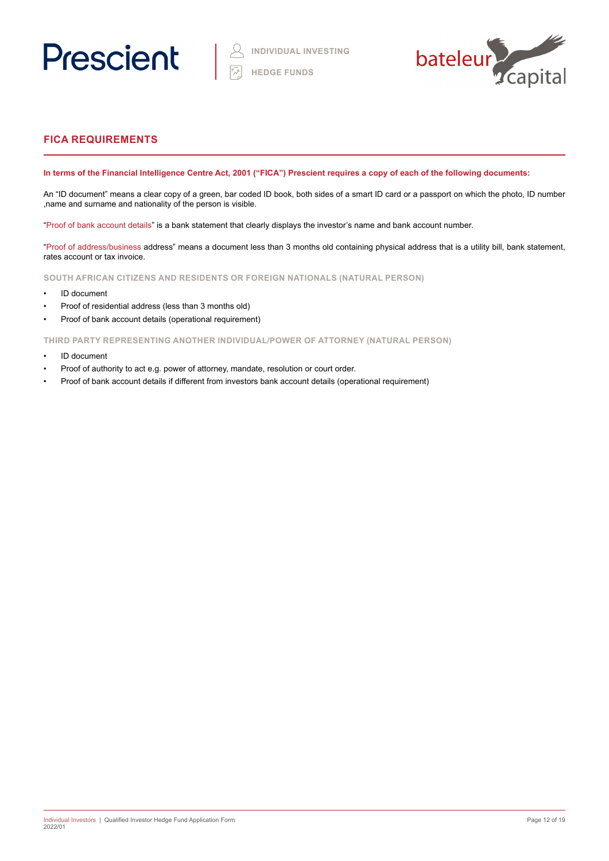



# **FICA REQUIREMENTS**

### **In terms of the Financial Intelligence Centre Act, 2001 ("FICA") Prescient requires a copy of each of the following documents:**

An "ID document" means a clear copy of a green, bar coded ID book, both sides of a smart ID card or a passport on which the photo, ID number ,name and surname and nationality of the person is visible.

"Proof of bank account details" is a bank statement that clearly displays the investor's name and bank account number.

"Proof of address/business address" means a document less than 3 months old containing physical address that is a utility bill, bank statement, rates account or tax invoice.

**SOUTH AFRICAN CITIZENS AND RESIDENTS OR FOREIGN NATIONALS (NATURAL PERSON)**

- ID document
- Proof of residential address (less than 3 months old)
- Proof of bank account details (operational requirement)

**THIRD PARTY REPRESENTING ANOTHER INDIVIDUAL/POWER OF ATTORNEY (NATURAL PERSON)**

- ID document
- Proof of authority to act e.g. power of attorney, mandate, resolution or court order.
- Proof of bank account details if different from investors bank account details (operational requirement)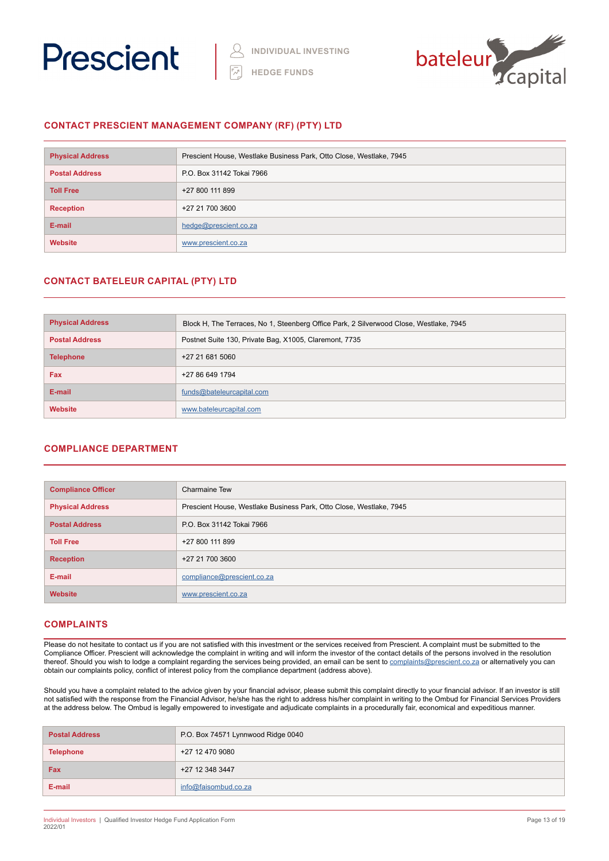



### **CONTACT PRESCIENT MANAGEMENT COMPANY (RF) (PTY) LTD**

| <b>Physical Address</b> | Prescient House, Westlake Business Park, Otto Close, Westlake, 7945 |
|-------------------------|---------------------------------------------------------------------|
| <b>Postal Address</b>   | P.O. Box 31142 Tokai 7966                                           |
| <b>Toll Free</b>        | +27 800 111 899                                                     |
| <b>Reception</b>        | +27 21 700 3600                                                     |
| E-mail                  | hedge@prescient.co.za                                               |
| <b>Website</b>          | www.prescient.co.za                                                 |

## **CONTACT BATELEUR CAPITAL (PTY) LTD**

| <b>Physical Address</b> | Block H, The Terraces, No 1, Steenberg Office Park, 2 Silverwood Close, Westlake, 7945 |
|-------------------------|----------------------------------------------------------------------------------------|
| <b>Postal Address</b>   | Postnet Suite 130, Private Bag, X1005, Claremont, 7735                                 |
| <b>Telephone</b>        | +27 21 681 5060                                                                        |
| <b>Fax</b>              | +27 86 649 1794                                                                        |
| E-mail                  | funds@bateleurcapital.com                                                              |
| Website                 | www.bateleurcapital.com                                                                |

### **COMPLIANCE DEPARTMENT**

| <b>Compliance Officer</b> | Charmaine Tew                                                       |
|---------------------------|---------------------------------------------------------------------|
| <b>Physical Address</b>   | Prescient House, Westlake Business Park, Otto Close, Westlake, 7945 |
| <b>Postal Address</b>     | P.O. Box 31142 Tokai 7966                                           |
| <b>Toll Free</b>          | +27 800 111 899                                                     |
| <b>Reception</b>          | +27 21 700 3600                                                     |
| E-mail                    | compliance@prescient.co.za                                          |
| <b>Website</b>            | www.prescient.co.za                                                 |

### **COMPLAINTS**

Please do not hesitate to contact us if you are not satisfied with this investment or the services received from Prescient. A complaint must be submitted to the Compliance Officer. Prescient will acknowledge the complaint in writing and will inform the investor of the contact details of the persons involved in the resolution thereof. Should you wish to lodge a complaint regarding the services being provided, an email can be sent to **[complaints@prescient.co.za](mailto:complaints%40prescient.co.za?subject=)** or alternatively you can obtain our complaints policy, conflict of interest policy from the compliance department (address above).

Should you have a complaint related to the advice given by your financial advisor, please submit this complaint directly to your financial advisor. If an investor is still not satisfied with the response from the Financial Advisor, he/she has the right to address his/her complaint in writing to the Ombud for Financial Services Providers at the address below. The Ombud is legally empowered to investigate and adjudicate complaints in a procedurally fair, economical and expeditious manner.

| <b>Postal Address</b> | P.O. Box 74571 Lynnwood Ridge 0040 |
|-----------------------|------------------------------------|
| <b>Telephone</b>      | +27 12 470 9080                    |
| Fax                   | +27 12 348 3447                    |
| E-mail                | info@faisombud.co.za               |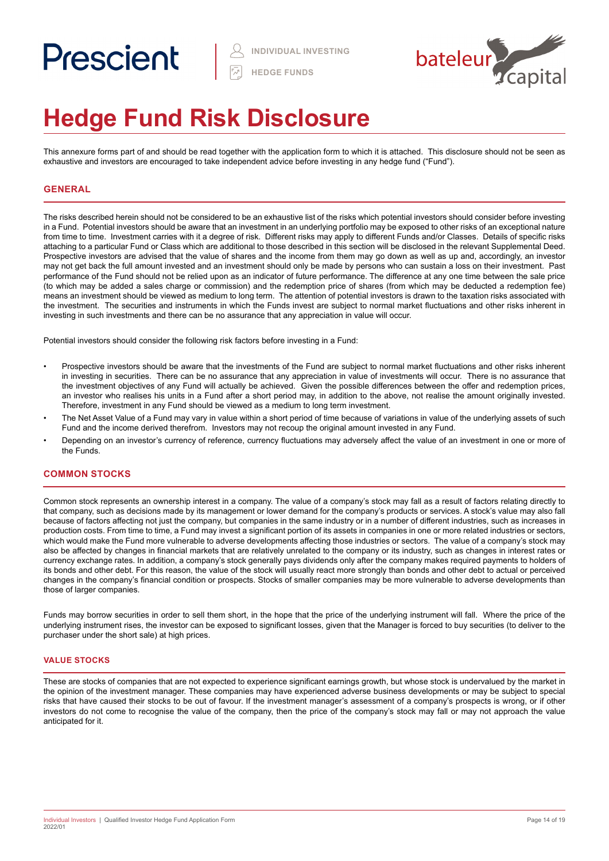# Prescient



# **Hedge Fund Risk Disclosure**

This annexure forms part of and should be read together with the application form to which it is attached. This disclosure should not be seen as exhaustive and investors are encouraged to take independent advice before investing in any hedge fund ("Fund").

### **GENERAL**

The risks described herein should not be considered to be an exhaustive list of the risks which potential investors should consider before investing in a Fund. Potential investors should be aware that an investment in an underlying portfolio may be exposed to other risks of an exceptional nature from time to time. Investment carries with it a degree of risk. Different risks may apply to different Funds and/or Classes. Details of specific risks attaching to a particular Fund or Class which are additional to those described in this section will be disclosed in the relevant Supplemental Deed. Prospective investors are advised that the value of shares and the income from them may go down as well as up and, accordingly, an investor may not get back the full amount invested and an investment should only be made by persons who can sustain a loss on their investment. Past performance of the Fund should not be relied upon as an indicator of future performance. The difference at any one time between the sale price (to which may be added a sales charge or commission) and the redemption price of shares (from which may be deducted a redemption fee) means an investment should be viewed as medium to long term. The attention of potential investors is drawn to the taxation risks associated with the investment. The securities and instruments in which the Funds invest are subject to normal market fluctuations and other risks inherent in investing in such investments and there can be no assurance that any appreciation in value will occur.

Potential investors should consider the following risk factors before investing in a Fund:

- Prospective investors should be aware that the investments of the Fund are subject to normal market fluctuations and other risks inherent in investing in securities. There can be no assurance that any appreciation in value of investments will occur. There is no assurance that the investment objectives of any Fund will actually be achieved. Given the possible differences between the offer and redemption prices, an investor who realises his units in a Fund after a short period may, in addition to the above, not realise the amount originally invested. Therefore, investment in any Fund should be viewed as a medium to long term investment.
- The Net Asset Value of a Fund may vary in value within a short period of time because of variations in value of the underlying assets of such Fund and the income derived therefrom. Investors may not recoup the original amount invested in any Fund.
- Depending on an investor's currency of reference, currency fluctuations may adversely affect the value of an investment in one or more of the Funds.

#### **COMMON STOCKS**

Common stock represents an ownership interest in a company. The value of a company's stock may fall as a result of factors relating directly to that company, such as decisions made by its management or lower demand for the company's products or services. A stock's value may also fall because of factors affecting not just the company, but companies in the same industry or in a number of different industries, such as increases in production costs. From time to time, a Fund may invest a significant portion of its assets in companies in one or more related industries or sectors, which would make the Fund more vulnerable to adverse developments affecting those industries or sectors. The value of a company's stock may also be affected by changes in financial markets that are relatively unrelated to the company or its industry, such as changes in interest rates or currency exchange rates. In addition, a company's stock generally pays dividends only after the company makes required payments to holders of its bonds and other debt. For this reason, the value of the stock will usually react more strongly than bonds and other debt to actual or perceived changes in the company's financial condition or prospects. Stocks of smaller companies may be more vulnerable to adverse developments than those of larger companies.

Funds may borrow securities in order to sell them short, in the hope that the price of the underlying instrument will fall. Where the price of the underlying instrument rises, the investor can be exposed to significant losses, given that the Manager is forced to buy securities (to deliver to the purchaser under the short sale) at high prices.

#### **VALUE STOCKS**

These are stocks of companies that are not expected to experience significant earnings growth, but whose stock is undervalued by the market in the opinion of the investment manager. These companies may have experienced adverse business developments or may be subject to special risks that have caused their stocks to be out of favour. If the investment manager's assessment of a company's prospects is wrong, or if other investors do not come to recognise the value of the company, then the price of the company's stock may fall or may not approach the value anticipated for it.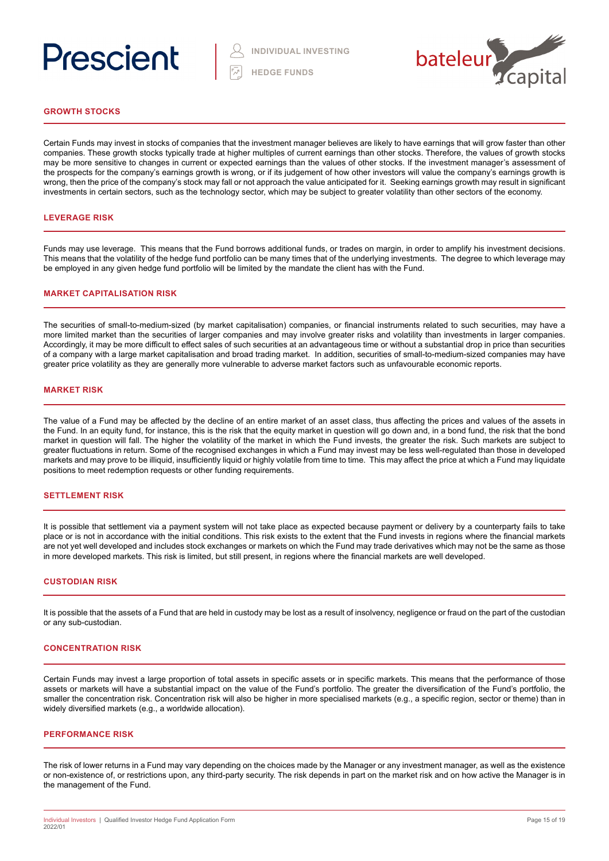# Prescient



#### **GROWTH STOCKS**

Certain Funds may invest in stocks of companies that the investment manager believes are likely to have earnings that will grow faster than other companies. These growth stocks typically trade at higher multiples of current earnings than other stocks. Therefore, the values of growth stocks may be more sensitive to changes in current or expected earnings than the values of other stocks. If the investment manager's assessment of the prospects for the company's earnings growth is wrong, or if its judgement of how other investors will value the company's earnings growth is wrong, then the price of the company's stock may fall or not approach the value anticipated for it. Seeking earnings growth may result in significant investments in certain sectors, such as the technology sector, which may be subject to greater volatility than other sectors of the economy.

#### **LEVERAGE RISK**

Funds may use leverage. This means that the Fund borrows additional funds, or trades on margin, in order to amplify his investment decisions. This means that the volatility of the hedge fund portfolio can be many times that of the underlying investments. The degree to which leverage may be employed in any given hedge fund portfolio will be limited by the mandate the client has with the Fund.

#### **MARKET CAPITALISATION RISK**

The securities of small-to-medium-sized (by market capitalisation) companies, or financial instruments related to such securities, may have a more limited market than the securities of larger companies and may involve greater risks and volatility than investments in larger companies. Accordingly, it may be more difficult to effect sales of such securities at an advantageous time or without a substantial drop in price than securities of a company with a large market capitalisation and broad trading market. In addition, securities of small-to-medium-sized companies may have greater price volatility as they are generally more vulnerable to adverse market factors such as unfavourable economic reports.

#### **MARKET RISK**

The value of a Fund may be affected by the decline of an entire market of an asset class, thus affecting the prices and values of the assets in the Fund. In an equity fund, for instance, this is the risk that the equity market in question will go down and, in a bond fund, the risk that the bond market in question will fall. The higher the volatility of the market in which the Fund invests, the greater the risk. Such markets are subject to greater fluctuations in return. Some of the recognised exchanges in which a Fund may invest may be less well-regulated than those in developed markets and may prove to be illiquid, insufficiently liquid or highly volatile from time to time. This may affect the price at which a Fund may liquidate positions to meet redemption requests or other funding requirements.

#### **SETTLEMENT RISK**

It is possible that settlement via a payment system will not take place as expected because payment or delivery by a counterparty fails to take place or is not in accordance with the initial conditions. This risk exists to the extent that the Fund invests in regions where the financial markets are not yet well developed and includes stock exchanges or markets on which the Fund may trade derivatives which may not be the same as those in more developed markets. This risk is limited, but still present, in regions where the financial markets are well developed.

#### **CUSTODIAN RISK**

It is possible that the assets of a Fund that are held in custody may be lost as a result of insolvency, negligence or fraud on the part of the custodian or any sub-custodian.

#### **CONCENTRATION RISK**

Certain Funds may invest a large proportion of total assets in specific assets or in specific markets. This means that the performance of those assets or markets will have a substantial impact on the value of the Fund's portfolio. The greater the diversification of the Fund's portfolio, the smaller the concentration risk. Concentration risk will also be higher in more specialised markets (e.g., a specific region, sector or theme) than in widely diversified markets (e.g., a worldwide allocation).

#### **PERFORMANCE RISK**

The risk of lower returns in a Fund may vary depending on the choices made by the Manager or any investment manager, as well as the existence or non-existence of, or restrictions upon, any third-party security. The risk depends in part on the market risk and on how active the Manager is in the management of the Fund.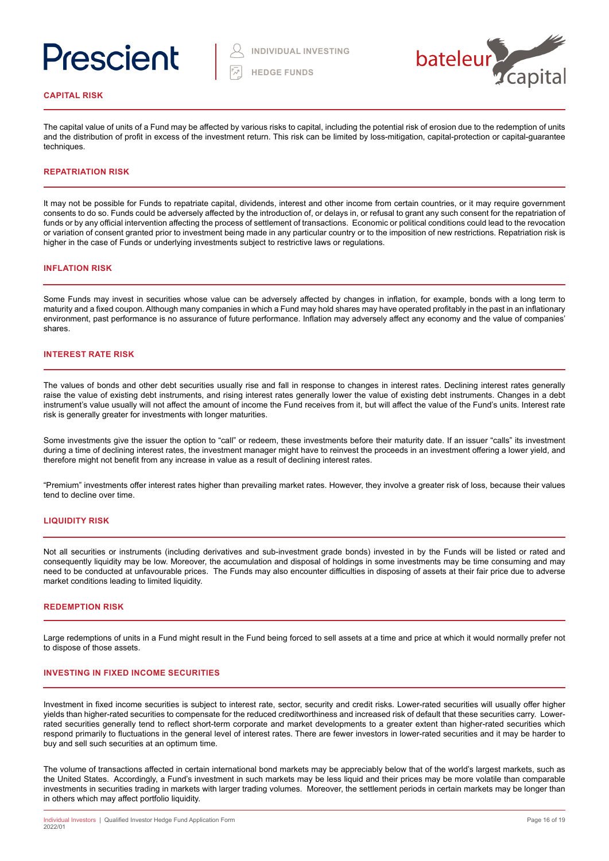# Prescient



#### **CAPITAL RISK**

The capital value of units of a Fund may be affected by various risks to capital, including the potential risk of erosion due to the redemption of units and the distribution of profit in excess of the investment return. This risk can be limited by loss-mitigation, capital-protection or capital-guarantee techniques.

#### **REPATRIATION RISK**

It may not be possible for Funds to repatriate capital, dividends, interest and other income from certain countries, or it may require government consents to do so. Funds could be adversely affected by the introduction of, or delays in, or refusal to grant any such consent for the repatriation of funds or by any official intervention affecting the process of settlement of transactions. Economic or political conditions could lead to the revocation or variation of consent granted prior to investment being made in any particular country or to the imposition of new restrictions. Repatriation risk is higher in the case of Funds or underlying investments subject to restrictive laws or regulations.

#### **INFLATION RISK**

Some Funds may invest in securities whose value can be adversely affected by changes in inflation, for example, bonds with a long term to maturity and a fixed coupon. Although many companies in which a Fund may hold shares may have operated profitably in the past in an inflationary environment, past performance is no assurance of future performance. Inflation may adversely affect any economy and the value of companies' shares.

#### **INTEREST RATE RISK**

The values of bonds and other debt securities usually rise and fall in response to changes in interest rates. Declining interest rates generally raise the value of existing debt instruments, and rising interest rates generally lower the value of existing debt instruments. Changes in a debt instrument's value usually will not affect the amount of income the Fund receives from it, but will affect the value of the Fund's units. Interest rate risk is generally greater for investments with longer maturities.

Some investments give the issuer the option to "call" or redeem, these investments before their maturity date. If an issuer "calls" its investment during a time of declining interest rates, the investment manager might have to reinvest the proceeds in an investment offering a lower yield, and therefore might not benefit from any increase in value as a result of declining interest rates.

"Premium" investments offer interest rates higher than prevailing market rates. However, they involve a greater risk of loss, because their values tend to decline over time.

#### **LIQUIDITY RISK**

Not all securities or instruments (including derivatives and sub-investment grade bonds) invested in by the Funds will be listed or rated and consequently liquidity may be low. Moreover, the accumulation and disposal of holdings in some investments may be time consuming and may need to be conducted at unfavourable prices. The Funds may also encounter difficulties in disposing of assets at their fair price due to adverse market conditions leading to limited liquidity.

#### **REDEMPTION RISK**

Large redemptions of units in a Fund might result in the Fund being forced to sell assets at a time and price at which it would normally prefer not to dispose of those assets.

#### **INVESTING IN FIXED INCOME SECURITIES**

Investment in fixed income securities is subject to interest rate, sector, security and credit risks. Lower-rated securities will usually offer higher yields than higher-rated securities to compensate for the reduced creditworthiness and increased risk of default that these securities carry. Lowerrated securities generally tend to reflect short-term corporate and market developments to a greater extent than higher-rated securities which respond primarily to fluctuations in the general level of interest rates. There are fewer investors in lower-rated securities and it may be harder to buy and sell such securities at an optimum time.

The volume of transactions affected in certain international bond markets may be appreciably below that of the world's largest markets, such as the United States. Accordingly, a Fund's investment in such markets may be less liquid and their prices may be more volatile than comparable investments in securities trading in markets with larger trading volumes. Moreover, the settlement periods in certain markets may be longer than in others which may affect portfolio liquidity.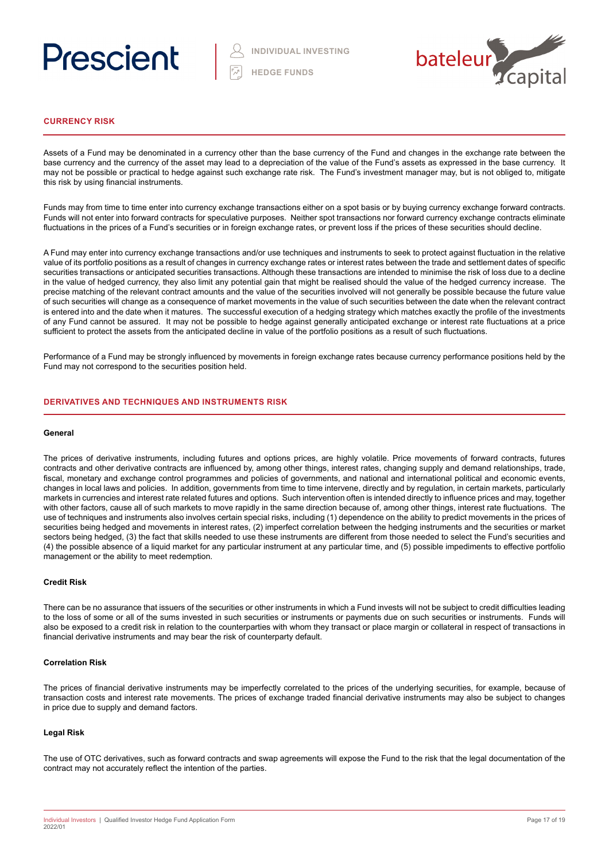



#### **CURRENCY RISK**

Assets of a Fund may be denominated in a currency other than the base currency of the Fund and changes in the exchange rate between the base currency and the currency of the asset may lead to a depreciation of the value of the Fund's assets as expressed in the base currency. It may not be possible or practical to hedge against such exchange rate risk. The Fund's investment manager may, but is not obliged to, mitigate this risk by using financial instruments.

Funds may from time to time enter into currency exchange transactions either on a spot basis or by buying currency exchange forward contracts. Funds will not enter into forward contracts for speculative purposes. Neither spot transactions nor forward currency exchange contracts eliminate fluctuations in the prices of a Fund's securities or in foreign exchange rates, or prevent loss if the prices of these securities should decline.

A Fund may enter into currency exchange transactions and/or use techniques and instruments to seek to protect against fluctuation in the relative value of its portfolio positions as a result of changes in currency exchange rates or interest rates between the trade and settlement dates of specific securities transactions or anticipated securities transactions. Although these transactions are intended to minimise the risk of loss due to a decline in the value of hedged currency, they also limit any potential gain that might be realised should the value of the hedged currency increase. The precise matching of the relevant contract amounts and the value of the securities involved will not generally be possible because the future value of such securities will change as a consequence of market movements in the value of such securities between the date when the relevant contract is entered into and the date when it matures. The successful execution of a hedging strategy which matches exactly the profile of the investments of any Fund cannot be assured. It may not be possible to hedge against generally anticipated exchange or interest rate fluctuations at a price sufficient to protect the assets from the anticipated decline in value of the portfolio positions as a result of such fluctuations.

Performance of a Fund may be strongly influenced by movements in foreign exchange rates because currency performance positions held by the Fund may not correspond to the securities position held.

#### **DERIVATIVES AND TECHNIQUES AND INSTRUMENTS RISK**

#### **General**

The prices of derivative instruments, including futures and options prices, are highly volatile. Price movements of forward contracts, futures contracts and other derivative contracts are influenced by, among other things, interest rates, changing supply and demand relationships, trade, fiscal, monetary and exchange control programmes and policies of governments, and national and international political and economic events, changes in local laws and policies. In addition, governments from time to time intervene, directly and by regulation, in certain markets, particularly markets in currencies and interest rate related futures and options. Such intervention often is intended directly to influence prices and may, together with other factors, cause all of such markets to move rapidly in the same direction because of, among other things, interest rate fluctuations. The use of techniques and instruments also involves certain special risks, including (1) dependence on the ability to predict movements in the prices of securities being hedged and movements in interest rates, (2) imperfect correlation between the hedging instruments and the securities or market sectors being hedged, (3) the fact that skills needed to use these instruments are different from those needed to select the Fund's securities and (4) the possible absence of a liquid market for any particular instrument at any particular time, and (5) possible impediments to effective portfolio management or the ability to meet redemption.

#### **Credit Risk**

There can be no assurance that issuers of the securities or other instruments in which a Fund invests will not be subject to credit difficulties leading to the loss of some or all of the sums invested in such securities or instruments or payments due on such securities or instruments. Funds will also be exposed to a credit risk in relation to the counterparties with whom they transact or place margin or collateral in respect of transactions in financial derivative instruments and may bear the risk of counterparty default.

#### **Correlation Risk**

The prices of financial derivative instruments may be imperfectly correlated to the prices of the underlying securities, for example, because of transaction costs and interest rate movements. The prices of exchange traded financial derivative instruments may also be subject to changes in price due to supply and demand factors.

#### **Legal Risk**

The use of OTC derivatives, such as forward contracts and swap agreements will expose the Fund to the risk that the legal documentation of the contract may not accurately reflect the intention of the parties.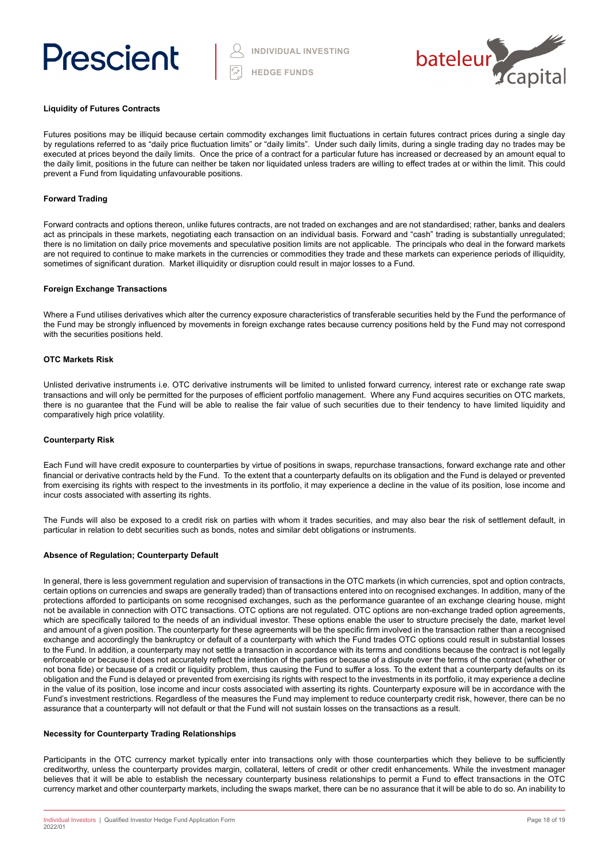



#### **Liquidity of Futures Contracts**

Futures positions may be illiquid because certain commodity exchanges limit fluctuations in certain futures contract prices during a single day by regulations referred to as "daily price fluctuation limits" or "daily limits". Under such daily limits, during a single trading day no trades may be executed at prices beyond the daily limits. Once the price of a contract for a particular future has increased or decreased by an amount equal to the daily limit, positions in the future can neither be taken nor liquidated unless traders are willing to effect trades at or within the limit. This could prevent a Fund from liquidating unfavourable positions.

#### **Forward Trading**

Forward contracts and options thereon, unlike futures contracts, are not traded on exchanges and are not standardised; rather, banks and dealers act as principals in these markets, negotiating each transaction on an individual basis. Forward and "cash" trading is substantially unregulated; there is no limitation on daily price movements and speculative position limits are not applicable. The principals who deal in the forward markets are not required to continue to make markets in the currencies or commodities they trade and these markets can experience periods of illiquidity, sometimes of significant duration. Market illiquidity or disruption could result in major losses to a Fund.

#### **Foreign Exchange Transactions**

Where a Fund utilises derivatives which alter the currency exposure characteristics of transferable securities held by the Fund the performance of the Fund may be strongly influenced by movements in foreign exchange rates because currency positions held by the Fund may not correspond with the securities positions held.

#### **OTC Markets Risk**

Unlisted derivative instruments i.e. OTC derivative instruments will be limited to unlisted forward currency, interest rate or exchange rate swap transactions and will only be permitted for the purposes of efficient portfolio management. Where any Fund acquires securities on OTC markets, there is no guarantee that the Fund will be able to realise the fair value of such securities due to their tendency to have limited liquidity and comparatively high price volatility.

#### **Counterparty Risk**

Each Fund will have credit exposure to counterparties by virtue of positions in swaps, repurchase transactions, forward exchange rate and other financial or derivative contracts held by the Fund. To the extent that a counterparty defaults on its obligation and the Fund is delayed or prevented from exercising its rights with respect to the investments in its portfolio, it may experience a decline in the value of its position, lose income and incur costs associated with asserting its rights.

The Funds will also be exposed to a credit risk on parties with whom it trades securities, and may also bear the risk of settlement default, in particular in relation to debt securities such as bonds, notes and similar debt obligations or instruments.

#### **Absence of Regulation; Counterparty Default**

In general, there is less government regulation and supervision of transactions in the OTC markets (in which currencies, spot and option contracts, certain options on currencies and swaps are generally traded) than of transactions entered into on recognised exchanges. In addition, many of the protections afforded to participants on some recognised exchanges, such as the performance guarantee of an exchange clearing house, might not be available in connection with OTC transactions. OTC options are not regulated. OTC options are non-exchange traded option agreements, which are specifically tailored to the needs of an individual investor. These options enable the user to structure precisely the date, market level and amount of a given position. The counterparty for these agreements will be the specific firm involved in the transaction rather than a recognised exchange and accordingly the bankruptcy or default of a counterparty with which the Fund trades OTC options could result in substantial losses to the Fund. In addition, a counterparty may not settle a transaction in accordance with its terms and conditions because the contract is not legally enforceable or because it does not accurately reflect the intention of the parties or because of a dispute over the terms of the contract (whether or not bona fide) or because of a credit or liquidity problem, thus causing the Fund to suffer a loss. To the extent that a counterparty defaults on its obligation and the Fund is delayed or prevented from exercising its rights with respect to the investments in its portfolio, it may experience a decline in the value of its position, lose income and incur costs associated with asserting its rights. Counterparty exposure will be in accordance with the Fund's investment restrictions. Regardless of the measures the Fund may implement to reduce counterparty credit risk, however, there can be no assurance that a counterparty will not default or that the Fund will not sustain losses on the transactions as a result.

#### **Necessity for Counterparty Trading Relationships**

Participants in the OTC currency market typically enter into transactions only with those counterparties which they believe to be sufficiently creditworthy, unless the counterparty provides margin, collateral, letters of credit or other credit enhancements. While the investment manager believes that it will be able to establish the necessary counterparty business relationships to permit a Fund to effect transactions in the OTC currency market and other counterparty markets, including the swaps market, there can be no assurance that it will be able to do so. An inability to